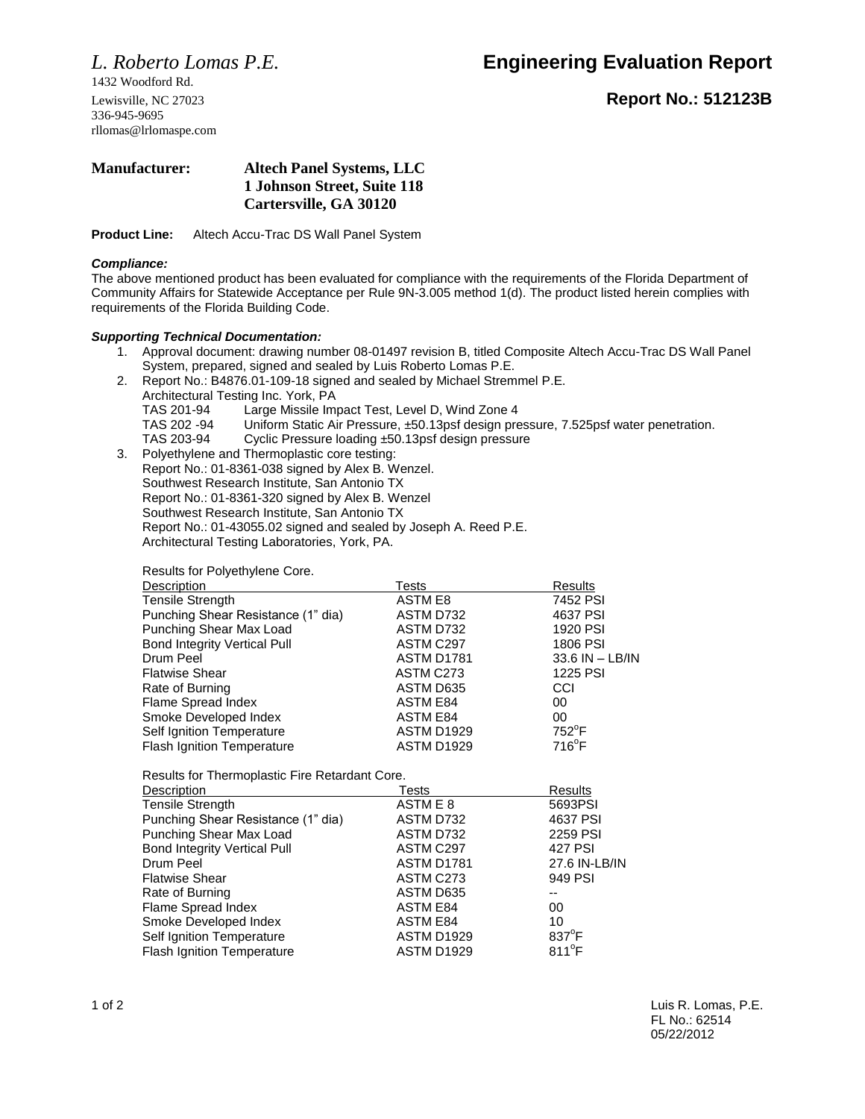1432 Woodford Rd. 336-945-9695 rllomas@lrlomaspe.com

## *L. Roberto Lomas P.E.* **Engineering Evaluation Report**

Lewisville, NC 27023 **Report No.: 512123B**

## **Manufacturer: Altech Panel Systems, LLC 1 Johnson Street, Suite 118 Cartersville, GA 30120**

**Product Line:** Altech Accu-Trac DS Wall Panel System

### *Compliance:*

The above mentioned product has been evaluated for compliance with the requirements of the Florida Department of Community Affairs for Statewide Acceptance per Rule 9N-3.005 method 1(d). The product listed herein complies with requirements of the Florida Building Code.

## *Supporting Technical Documentation:*

- 1. Approval document: drawing number 08-01497 revision B, titled Composite Altech Accu-Trac DS Wall Panel System, prepared, signed and sealed by Luis Roberto Lomas P.E.
- 2. Report No.: B4876.01-109-18 signed and sealed by Michael Stremmel P.E.
	- Architectural Testing Inc. York, PA TAS 201-94 Large Missile Impact Test, Level D, Wind Zone 4 TAS 202 -94 Uniform Static Air Pressure, ±50.13psf design pressure, 7.525psf water penetration. TAS 203-94 Cyclic Pressure loading ±50.13psf design pressure
- 3. Polyethylene and Thermoplastic core testing: Report No.: 01-8361-038 signed by Alex B. Wenzel. Southwest Research Institute, San Antonio TX Report No.: 01-8361-320 signed by Alex B. Wenzel Southwest Research Institute, San Antonio TX Report No.: 01-43055.02 signed and sealed by Joseph A. Reed P.E. Architectural Testing Laboratories, York, PA.

Results for Polyethylene Core.

| Tests             | Results         |
|-------------------|-----------------|
| ASTM E8           | 7452 PSI        |
| ASTM D732         | 4637 PSI        |
| ASTM D732         | 1920 PSI        |
| ASTM C297         | 1806 PSI        |
| ASTM D1781        | 33.6 IN - LB/IN |
| ASTM C273         | 1225 PSI        |
| ASTM D635         | CCI             |
| <b>ASTM E84</b>   | 00              |
| <b>ASTM E84</b>   | 00              |
| <b>ASTM D1929</b> | $752^{\circ}$ F |
| <b>ASTM D1929</b> | 716°F           |
|                   |                 |

Results for Thermoplastic Fire Retardant Core.

| Description                         | Tests             | <b>Results</b>  |
|-------------------------------------|-------------------|-----------------|
| <b>Tensile Strength</b>             | ASTM E 8          | 5693PSI         |
| Punching Shear Resistance (1" dia)  | ASTM D732         | 4637 PSI        |
| Punching Shear Max Load             | ASTM D732         | 2259 PSI        |
| <b>Bond Integrity Vertical Pull</b> | ASTM C297         | 427 PSI         |
| Drum Peel                           | <b>ASTM D1781</b> | 27.6 IN-LB/IN   |
| <b>Flatwise Shear</b>               | ASTM C273         | 949 PSI         |
| Rate of Burning                     | ASTM D635         | --              |
| Flame Spread Index                  | <b>ASTM E84</b>   | 00              |
| Smoke Developed Index               | ASTM E84          | 10              |
| Self Ignition Temperature           | <b>ASTM D1929</b> | $837^{\circ}$ F |
| <b>Flash Ignition Temperature</b>   | <b>ASTM D1929</b> | $811^{\circ}$ F |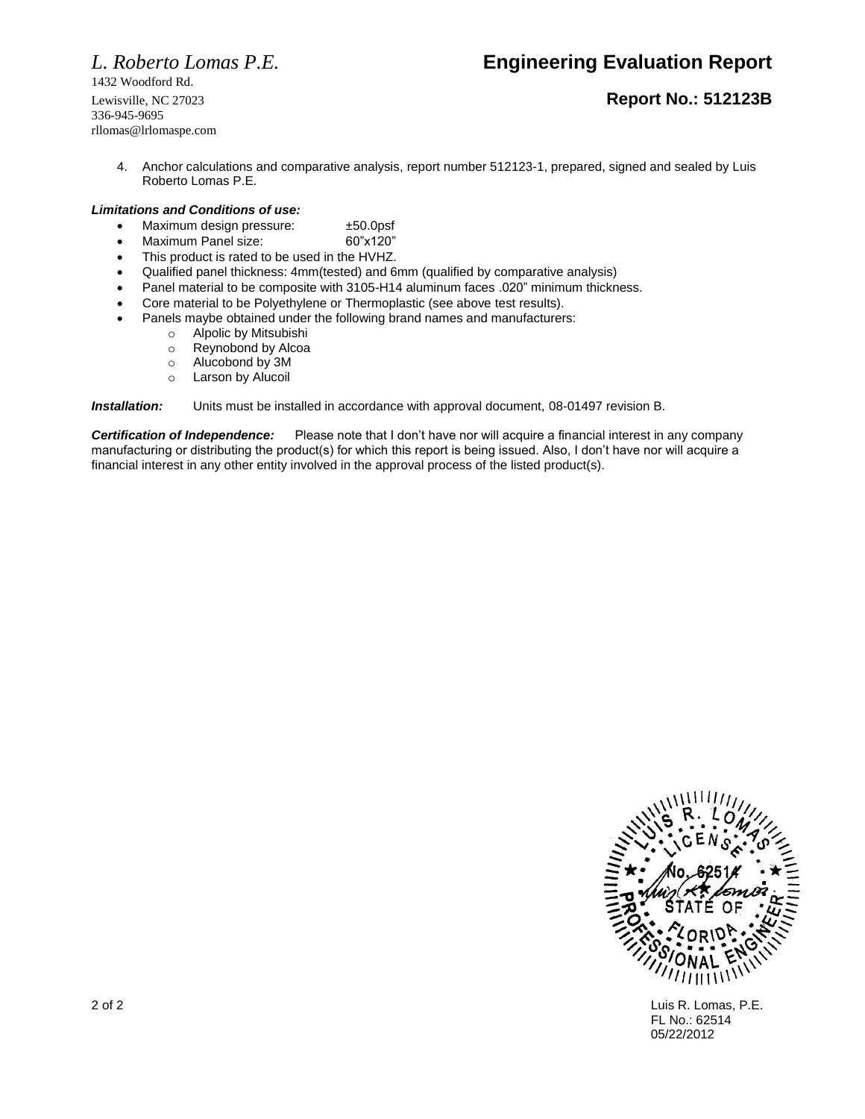# *L. Roberto Lomas P.E.* **Engineering Evaluation Report**

1432 Woodford Rd. 336-945-9695 rllomas@lrlomaspe.com

## Lewisville, NC 27023 **Report No.: 512123B**

4. Anchor calculations and comparative analysis, report number 512123-1, prepared, signed and sealed by Luis Roberto Lomas P.E.

### *Limitations and Conditions of use:*

- Maximum design pressure:  $\pm$ 50.0psf
- Maximum Panel size: 60"x120"
- This product is rated to be used in the HVHZ.
- Qualified panel thickness: 4mm(tested) and 6mm (qualified by comparative analysis)
- Panel material to be composite with 3105-H14 aluminum faces .020" minimum thickness.
- Core material to be Polyethylene or Thermoplastic (see above test results).
- Panels maybe obtained under the following brand names and manufacturers:
	- o Alpolic by Mitsubishi
	- o Reynobond by Alcoa
	- o Alucobond by 3M
	- o Larson by Alucoil

*Installation:* Units must be installed in accordance with approval document, 08-01497 revision B.

*Certification of Independence:* Please note that I don't have nor will acquire a financial interest in any company manufacturing or distributing the product(s) for which this report is being issued. Also, I don't have nor will acquire a financial interest in any other entity involved in the approval process of the listed product(s).



2 of 2 Luis R. Lomas, P.E. FL No.: 62514 05/22/2012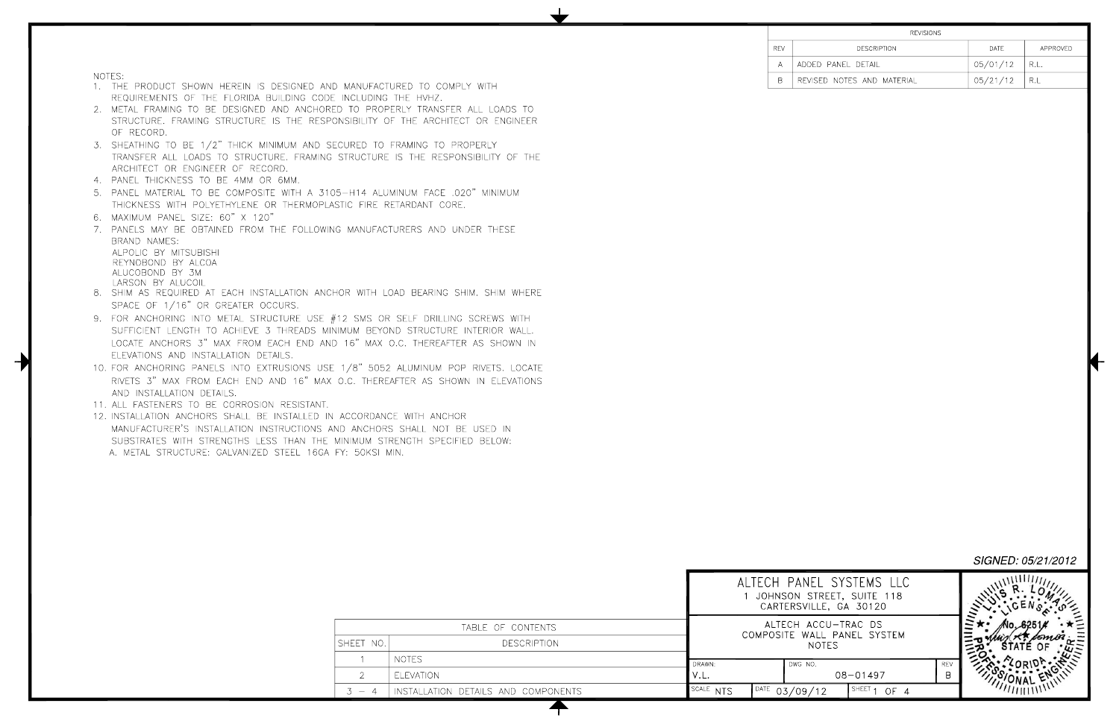**REV** ADDED  $A$ B REVISE

NOTES:

- 1. THE PRODUCT SHOWN HEREIN IS DESIGNED AND MANUFACTURED TO COMPLY WITH REQUIREMENTS OF THE FLORIDA BUILDING CODE INCLUDING THE HVHZ.
- 2. METAL FRAMING TO BE DESIGNED AND ANCHORED TO PROPERLY TRANSFER ALL LOADS TO STRUCTURE. FRAMING STRUCTURE IS THE RESPONSIBILITY OF THE ARCHITECT OR ENGINEER OF RECORD.
- 3. SHEATHING TO BE 1/2" THICK MINIMUM AND SECURED TO FRAMING TO PROPERLY TRANSFER ALL LOADS TO STRUCTURE. FRAMING STRUCTURE IS THE RESPONSIBILITY OF THE ARCHITECT OR ENGINEER OF RECORD.
- 4. PANEL THICKNESS TO BE 4MM OR 6MM.
- 5. PANEL MATERIAL TO BE COMPOSITE WITH A 3105-H14 ALUMINUM FACE .020" MINIMUM THICKNESS WITH POLYETHYLENE OR THERMOPLASTIC FIRE RETARDANT CORE.
- 6. MAXIMUM PANEL SIZE: 60" X 120"
- 7. PANELS MAY BE OBTAINED FROM THE FOLLOWING MANUFACTURERS AND UNDER THESE BRAND NAMES:

ALPOLIC BY MITSUBISHI REYNOBOND BY ALCOA ALUCOBOND BY 3M LARSON BY ALUCOIL

- 8. SHIM AS REQUIRED AT EACH INSTALLATION ANCHOR WITH LOAD BEARING SHIM. SHIM WHERE SPACE OF 1/16" OR GREATER OCCURS.
- 9. FOR ANCHORING INTO METAL STRUCTURE USE #12 SMS OR SELF DRILLING SCREWS WITH SUFFICIENT LENGTH TO ACHIEVE 3 THREADS MINIMUM BEYOND STRUCTURE INTERIOR WALL. LOCATE ANCHORS 3" MAX FROM EACH END AND 16" MAX O.C. THEREAFTER AS SHOWN IN ELEVATIONS AND INSTALLATION DETAILS.
- 10. FOR ANCHORING PANELS INTO EXTRUSIONS USE 1/8" 5052 ALUMINUM POP RIVETS. LOCATE RIVETS 3" MAX FROM EACH END AND 16" MAX O.C. THEREAFTER AS SHOWN IN ELEVATIONS AND INSTALLATION DETAILS.
- 11. ALL FASTENERS TO BE CORROSION RESISTANT.
- 12. INSTALLATION ANCHORS SHALL BE INSTALLED IN ACCORDANCE WITH ANCHOR MANUFACTURER'S INSTALLATION INSTRUCTIONS AND ANCHORS SHALL NOT BE USED IN SUBSTRATES WITH STRENGTHS LESS THAN THE MINIMUM STRENGTH SPECIFIED BELOW: A. METAL STRUCTURE: GALVANIZED STEEL 16GA FY: 50KSI MIN.

|                                            |                                     |           |      | JOHNSON STRE<br>CARTERSVILLE, |
|--------------------------------------------|-------------------------------------|-----------|------|-------------------------------|
|                                            | TABLE OF CONTENTS                   |           |      | ALTECH ACCU<br>COMPOSITE WALL |
| SHEET NO.                                  | <b>DESCRIPTION</b>                  |           |      | NOTE                          |
|                                            | NOTES.                              | DRAWN:    |      | DWG NO.                       |
| $\mathcal{D}$                              | <b>ELEVATION</b>                    | V.L.      |      |                               |
| $\overline{4}$<br>$\overline{\phantom{a}}$ | INSTALLATION DETAILS AND COMPONENTS | SCALE NTS | DATE | 03/09/12                      |
|                                            |                                     |           |      |                               |

┯

| <b>REVISIONS</b>      |          |          |
|-----------------------|----------|----------|
| <b>DESCRIPTION</b>    | DATE     | APPROVED |
| ) PANEL DETAIL        | 05/01/12 | R.L.     |
| ED NOTES AND MATERIAL | 05/21/12 | -R.L     |

| ALTECH PANEL SYSTEMS LLC<br>JOHNSON STREET, SUITE 118<br>CARTERSVILLE, GA 30120 |              |                 |  |
|---------------------------------------------------------------------------------|--------------|-----------------|--|
| ALTECH ACCU-TRAC DS<br>COMPOSITE WALL PANEL SYSTEM<br><b>NOTES</b>              |              |                 |  |
| DWG NO.                                                                         | $08 - 01497$ | <b>REV</b><br>R |  |
|                                                                                 | <b>SHEET</b> |                 |  |

SIGNED: 05/21/2012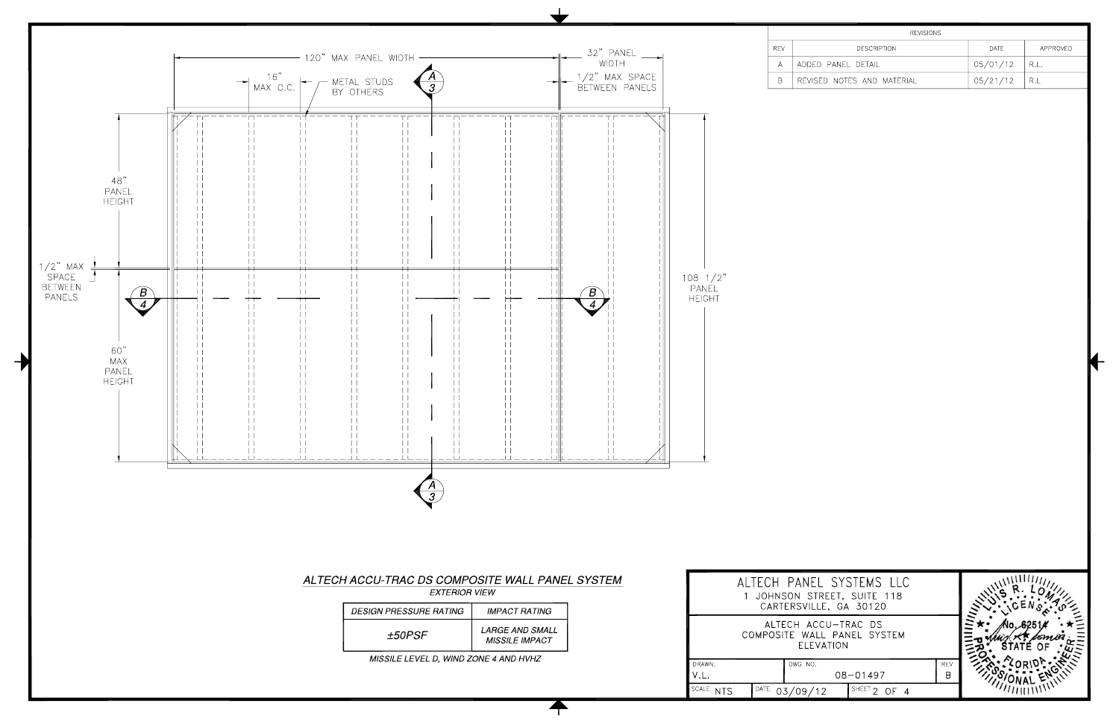

 $\biguparrow$ 

| <b>REVISIONS</b>      |          |          |
|-----------------------|----------|----------|
| <b>DESCRIPTION</b>    | DATE     | APPROVED |
| ) PANEL DETAIL        | 05/01/12 | R.L.     |
| ED NOTES AND MATERIAL | 05/21/12 | R.L      |

|                | SYSTEMS LLC<br>REET, SUITE 118<br>E, GA 30120 |          |  |
|----------------|-----------------------------------------------|----------|--|
| <b>ATION</b>   | CU-TRAC DS<br>L PANEL SYSTEM                  |          |  |
|                | $08 - 01497$                                  | REV<br>B |  |
| $\overline{2}$ | <b>SHEET</b><br>◠                             |          |  |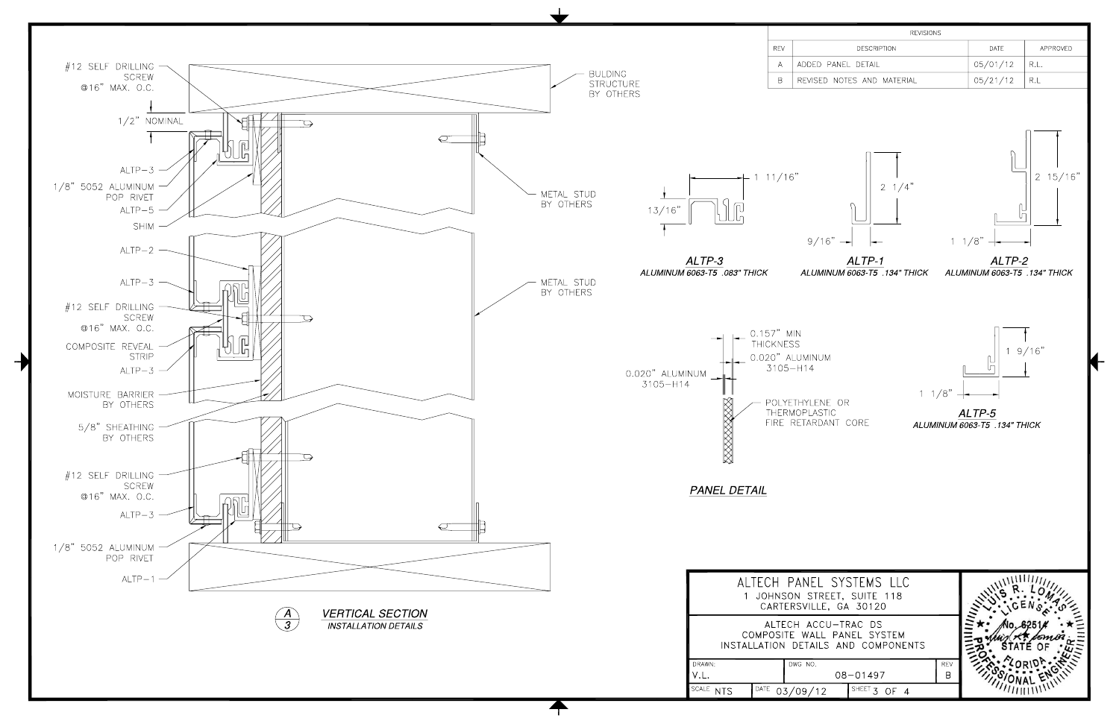